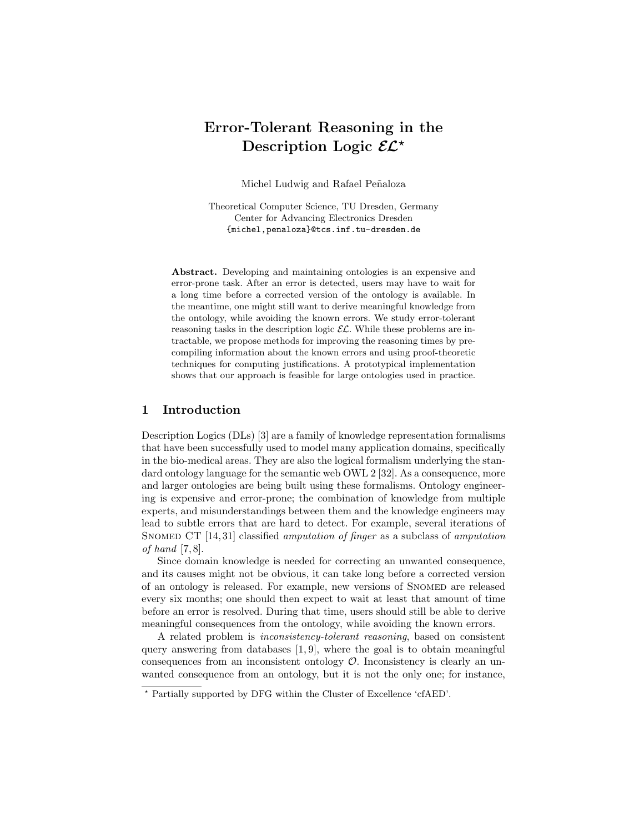# Error-Tolerant Reasoning in the Description Logic  $\mathcal{EL}^*$

Michel Ludwig and Rafael Peñaloza

Theoretical Computer Science, TU Dresden, Germany Center for Advancing Electronics Dresden {michel,penaloza}@tcs.inf.tu-dresden.de

Abstract. Developing and maintaining ontologies is an expensive and error-prone task. After an error is detected, users may have to wait for a long time before a corrected version of the ontology is available. In the meantime, one might still want to derive meaningful knowledge from the ontology, while avoiding the known errors. We study error-tolerant reasoning tasks in the description logic  $\mathcal{EL}$ . While these problems are intractable, we propose methods for improving the reasoning times by precompiling information about the known errors and using proof-theoretic techniques for computing justifications. A prototypical implementation shows that our approach is feasible for large ontologies used in practice.

# 1 Introduction

Description Logics (DLs) [3] are a family of knowledge representation formalisms that have been successfully used to model many application domains, specifically in the bio-medical areas. They are also the logical formalism underlying the standard ontology language for the semantic web OWL 2 [32]. As a consequence, more and larger ontologies are being built using these formalisms. Ontology engineering is expensive and error-prone; the combination of knowledge from multiple experts, and misunderstandings between them and the knowledge engineers may lead to subtle errors that are hard to detect. For example, several iterations of SNOMED CT  $[14, 31]$  classified *amputation of finger* as a subclass of *amputation* of hand [7, 8].

Since domain knowledge is needed for correcting an unwanted consequence, and its causes might not be obvious, it can take long before a corrected version of an ontology is released. For example, new versions of Snomed are released every six months; one should then expect to wait at least that amount of time before an error is resolved. During that time, users should still be able to derive meaningful consequences from the ontology, while avoiding the known errors.

A related problem is inconsistency-tolerant reasoning, based on consistent query answering from databases  $[1, 9]$ , where the goal is to obtain meaningful consequences from an inconsistent ontology  $\mathcal{O}$ . Inconsistency is clearly an unwanted consequence from an ontology, but it is not the only one; for instance,

<sup>?</sup> Partially supported by DFG within the Cluster of Excellence 'cfAED'.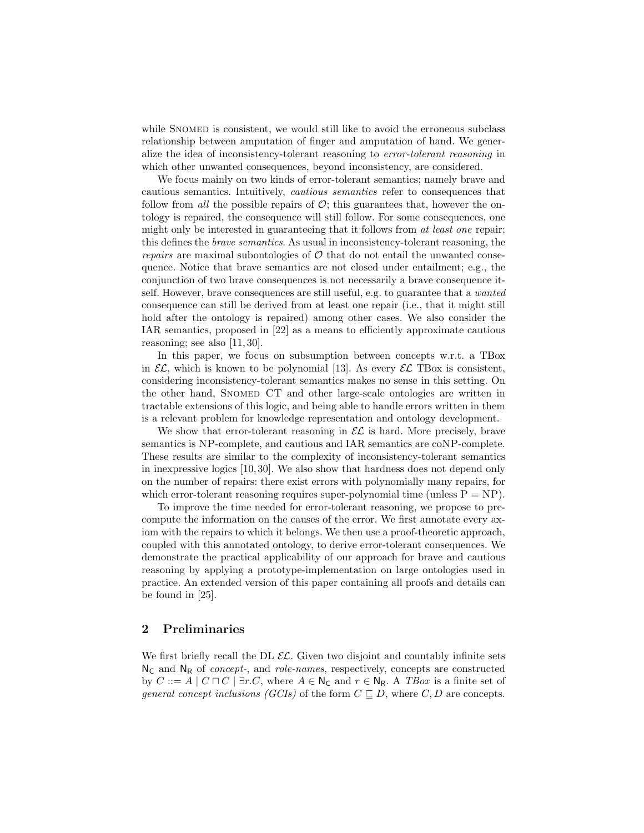while SNOMED is consistent, we would still like to avoid the erroneous subclass relationship between amputation of finger and amputation of hand. We generalize the idea of inconsistency-tolerant reasoning to error-tolerant reasoning in which other unwanted consequences, beyond inconsistency, are considered.

We focus mainly on two kinds of error-tolerant semantics; namely brave and cautious semantics. Intuitively, cautious semantics refer to consequences that follow from all the possible repairs of  $\mathcal{O}$ ; this guarantees that, however the ontology is repaired, the consequence will still follow. For some consequences, one might only be interested in guaranteeing that it follows from *at least one* repair; this defines the brave semantics. As usual in inconsistency-tolerant reasoning, the repairs are maximal subontologies of  $\mathcal O$  that do not entail the unwanted consequence. Notice that brave semantics are not closed under entailment; e.g., the conjunction of two brave consequences is not necessarily a brave consequence itself. However, brave consequences are still useful, e.g. to guarantee that a wanted consequence can still be derived from at least one repair (i.e., that it might still hold after the ontology is repaired) among other cases. We also consider the IAR semantics, proposed in [22] as a means to efficiently approximate cautious reasoning; see also [11, 30].

In this paper, we focus on subsumption between concepts w.r.t. a TBox in  $\mathcal{EL}$ , which is known to be polynomial [13]. As every  $\mathcal{EL}$  TBox is consistent, considering inconsistency-tolerant semantics makes no sense in this setting. On the other hand, Snomed CT and other large-scale ontologies are written in tractable extensions of this logic, and being able to handle errors written in them is a relevant problem for knowledge representation and ontology development.

We show that error-tolerant reasoning in  $\mathcal{EL}$  is hard. More precisely, brave semantics is NP-complete, and cautious and IAR semantics are coNP-complete. These results are similar to the complexity of inconsistency-tolerant semantics in inexpressive logics [10, 30]. We also show that hardness does not depend only on the number of repairs: there exist errors with polynomially many repairs, for which error-tolerant reasoning requires super-polynomial time (unless  $P = NP$ ).

To improve the time needed for error-tolerant reasoning, we propose to precompute the information on the causes of the error. We first annotate every axiom with the repairs to which it belongs. We then use a proof-theoretic approach, coupled with this annotated ontology, to derive error-tolerant consequences. We demonstrate the practical applicability of our approach for brave and cautious reasoning by applying a prototype-implementation on large ontologies used in practice. An extended version of this paper containing all proofs and details can be found in [25].

#### 2 Preliminaries

We first briefly recall the DL  $\mathcal{EL}$ . Given two disjoint and countably infinite sets  $N_c$  and  $N_R$  of *concept*-, and *role-names*, respectively, concepts are constructed by  $C ::= A \mid C \sqcap C \mid \exists r.C$ , where  $A \in \mathbb{N}_{\mathsf{C}}$  and  $r \in \mathbb{N}_{\mathsf{R}}$ . A TBox is a finite set of general concept inclusions (GCIs) of the form  $C \subseteq D$ , where C, D are concepts.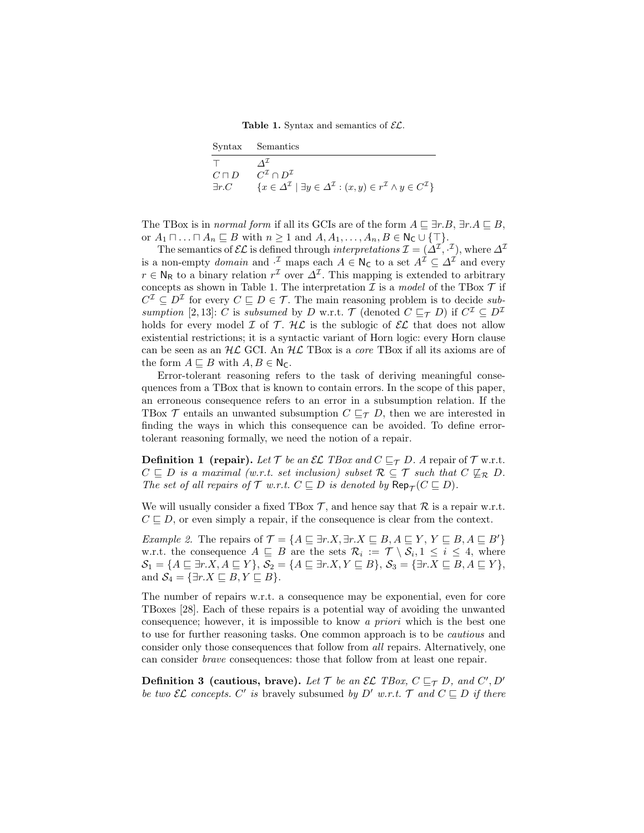**Table 1.** Syntax and semantics of  $\mathcal{EL}$ .

|                | Syntax Semantics                                                                                                                    |
|----------------|-------------------------------------------------------------------------------------------------------------------------------------|
|                | $\Lambda^{\perp}$                                                                                                                   |
| $C \sqcap D$   | $C^{\mathcal{I}} \cap D^{\mathcal{I}}$                                                                                              |
| $\exists r. C$ | $\{x \in \Delta^{\mathcal{I}} \mid \exists y \in \Delta^{\mathcal{I}} : (x, y) \in r^{\mathcal{I}} \wedge y \in C^{\mathcal{I}}\}\$ |

The TBox is in normal form if all its GCIs are of the form  $A \sqsubset \exists r.B, \exists r.A \sqsubset B$ , or  $A_1 \sqcap \ldots \sqcap A_n \sqsubseteq B$  with  $n \geq 1$  and  $A, A_1, \ldots, A_n, B \in \mathsf{N}_\mathsf{C} \cup \{\top\}.$ 

The semantics of  $\mathcal{EL}$  is defined through interpretations  $\mathcal{I} = (\Delta^{\mathcal{I}}, \cdot^{\mathcal{I}})$ , where  $\Delta^{\mathcal{I}}$ is a non-empty *domain* and  $\cdot^{\mathcal{I}}$  maps each  $A \in \mathsf{N}_{\mathsf{C}}$  to a set  $A^{\mathcal{I}} \subseteq \Delta^{\mathcal{I}}$  and every  $r \in \mathsf{N}_{\mathsf{R}}$  to a binary relation  $r^{\mathcal{I}}$  over  $\Delta^{\mathcal{I}}$ . This mapping is extended to arbitrary concepts as shown in Table 1. The interpretation  $\mathcal I$  is a  $model$  of the TBox  $\mathcal T$  if  $C^{\mathcal{I}} \subseteq D^{\mathcal{I}}$  for every  $C \subseteq D \in \mathcal{T}$ . The main reasoning problem is to decide subsumption [2, 13]: C is subsumed by D w.r.t. T (denoted  $C \sqsubseteq_{\mathcal{T}} D$ ) if  $C^{\mathcal{I}} \subseteq D^{\mathcal{I}}$ holds for every model  $\mathcal I$  of  $\mathcal T$ .  $\mathcal H\mathcal L$  is the sublogic of  $\mathcal E\mathcal L$  that does not allow existential restrictions; it is a syntactic variant of Horn logic: every Horn clause can be seen as an  $H\mathcal{L}$  GCI. An  $H\mathcal{L}$  TBox is a *core* TBox if all its axioms are of the form  $A \sqsubseteq B$  with  $A, B \in N_C$ .

Error-tolerant reasoning refers to the task of deriving meaningful consequences from a TBox that is known to contain errors. In the scope of this paper, an erroneous consequence refers to an error in a subsumption relation. If the TBox  $\mathcal T$  entails an unwanted subsumption  $C \subseteq_{\mathcal T} D$ , then we are interested in finding the ways in which this consequence can be avoided. To define errortolerant reasoning formally, we need the notion of a repair.

**Definition 1 (repair).** Let T be an EL TBox and  $C \sqsubseteq_{\mathcal{T}} D$ . A repair of T w.r.t.  $C \subseteq D$  is a maximal (w.r.t. set inclusion) subset  $\mathcal{R} \subseteq \mathcal{T}$  such that  $C \nsubseteq_{\mathcal{R}} D$ . The set of all repairs of  $\mathcal T$  w.r.t.  $C \sqsubseteq D$  is denoted by  $\mathsf{Rep}_{\mathcal T}(C \sqsubseteq D)$ .

We will usually consider a fixed TBox  $\mathcal{T}$ , and hence say that  $\mathcal{R}$  is a repair w.r.t.  $C \sqsubseteq D$ , or even simply a repair, if the consequence is clear from the context.

Example 2. The repairs of  $\mathcal{T} = \{A \sqsubseteq \exists r.X, \exists r.X \sqsubseteq B, A \sqsubseteq Y, Y \sqsubseteq B, A \sqsubseteq B'\}\$ w.r.t. the consequence  $A \subseteq B$  are the sets  $\mathcal{R}_i := \mathcal{T} \setminus \mathcal{S}_i, 1 \leq i \leq 4$ , where  $\mathcal{S}_1 = \{A \sqsubseteq \exists r.X, A \sqsubseteq Y\}, \mathcal{S}_2 = \{A \sqsubseteq \exists r.X, Y \sqsubseteq B\}, \mathcal{S}_3 = \{\exists r.X \sqsubseteq B, A \sqsubseteq Y\},\$ and  $S_4 = \{\exists r.X \sqsubseteq B, Y \sqsubseteq B\}.$ 

The number of repairs w.r.t. a consequence may be exponential, even for core TBoxes [28]. Each of these repairs is a potential way of avoiding the unwanted consequence; however, it is impossible to know a priori which is the best one to use for further reasoning tasks. One common approach is to be cautious and consider only those consequences that follow from all repairs. Alternatively, one can consider brave consequences: those that follow from at least one repair.

**Definition 3 (cautious, brave).** Let T be an EL TBox,  $C \sqsubseteq_{\mathcal{T}} D$ , and  $C', D'$ be two  $\mathcal{EL}$  concepts. C' is bravely subsumed by D' w.r.t. T and  $C \sqsubseteq D$  if there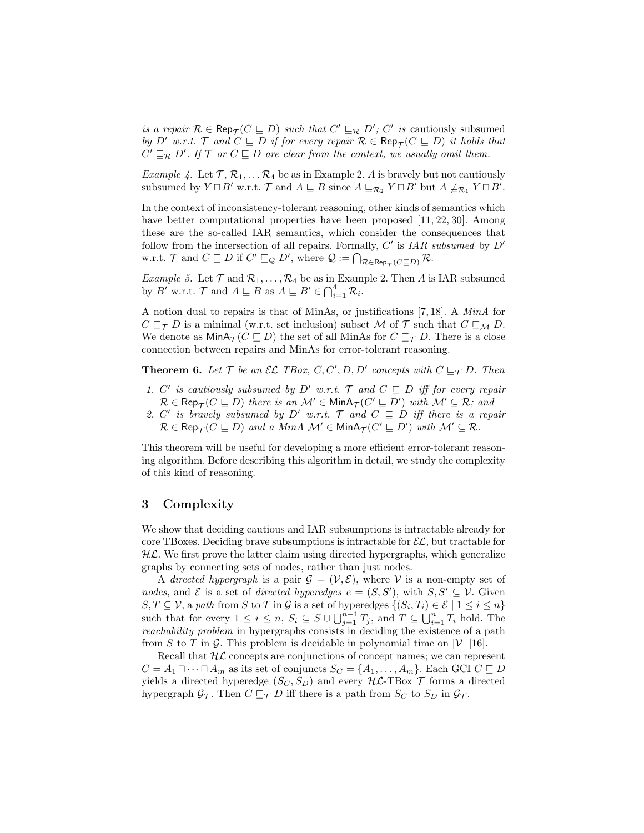is a repair  $\mathcal{R} \in \mathsf{Rep}_{\mathcal{T}}(C \sqsubseteq D)$  such that  $C' \sqsubseteq_{\mathcal{R}} D'$ ;  $C'$  is cautiously subsumed by D' w.r.t.  $\mathcal T$  and  $C \sqsubseteq D$  if for every repair  $\mathcal R \in \text{Rep}_{\mathcal T}(C \sqsubseteq D)$  it holds that  $C' \sqsubseteq_{\mathcal{R}} D'$ . If  $\mathcal{T}$  or  $C \sqsubseteq D$  are clear from the context, we usually omit them.

Example 4. Let  $\mathcal{T}, \mathcal{R}_1, \ldots \mathcal{R}_4$  be as in Example 2. A is bravely but not cautiously subsumed by  $Y \sqcap B'$  w.r.t.  $\mathcal{T}$  and  $A \sqsubseteq B$  since  $A \sqsubseteq_{\mathcal{R}_2} Y \sqcap B'$  but  $A \not\sqsubseteq_{\mathcal{R}_1} Y \sqcap B'$ .

In the context of inconsistency-tolerant reasoning, other kinds of semantics which have better computational properties have been proposed [11, 22, 30]. Among these are the so-called IAR semantics, which consider the consequences that follow from the intersection of all repairs. Formally,  $C'$  is IAR subsumed by  $D'$ w.r.t.  $\mathcal{T}$  and  $C \sqsubseteq D$  if  $C' \sqsubseteq_{\mathcal{Q}} D'$ , where  $\mathcal{Q} := \bigcap_{\mathcal{R} \in \mathsf{Rep}_{\mathcal{T}}(C \sqsubseteq D)} \mathcal{R}$ .

Example 5. Let  $\mathcal T$  and  $\mathcal R_1, \ldots, \mathcal R_4$  be as in Example 2. Then A is IAR subsumed by B' w.r.t. T and  $A \sqsubseteq B$  as  $A \sqsubseteq B' \in \bigcap_{i=1}^4 \mathcal{R}_i$ .

A notion dual to repairs is that of MinAs, or justifications [7, 18]. A MinA for  $C \sqsubseteq_{\mathcal{T}} D$  is a minimal (w.r.t. set inclusion) subset M of T such that  $C \sqsubseteq_{\mathcal{M}} D$ . We denote as  $\text{MinA}_{\mathcal{T}}(C \sqsubseteq D)$  the set of all MinAs for  $C \sqsubseteq_{\mathcal{T}} D$ . There is a close connection between repairs and MinAs for error-tolerant reasoning.

**Theorem 6.** Let  $\mathcal{T}$  be an  $\mathcal{EL}$  TBox,  $C, C', D, D'$  concepts with  $C \sqsubseteq_{\mathcal{T}} D$ . Then

- 1. C' is cautiously subsumed by D' w.r.t.  $\mathcal{T}$  and  $C \subseteq D$  iff for every repair  $\mathcal{R} \in \mathsf{Rep}_{\mathcal{T}}(C \sqsubseteq D)$  there is an  $\mathcal{M}' \in \mathsf{MinA}_{\mathcal{T}}(C' \sqsubseteq D')$  with  $\mathcal{M}' \subseteq \mathcal{R}$ ; and
- 2. C' is bravely subsumed by D' w.r.t.  $\mathcal{T}$  and  $C \subseteq D$  iff there is a repair  $\mathcal{R} \in \mathsf{Rep}_{\mathcal{T}}(C \sqsubseteq D)$  and a MinA  $\mathcal{M}' \in \mathsf{MinA}_{\mathcal{T}}(C' \sqsubseteq D')$  with  $\mathcal{M}' \subseteq \mathcal{R}$ .

This theorem will be useful for developing a more efficient error-tolerant reasoning algorithm. Before describing this algorithm in detail, we study the complexity of this kind of reasoning.

#### 3 Complexity

We show that deciding cautious and IAR subsumptions is intractable already for core TBoxes. Deciding brave subsumptions is intractable for  $\mathcal{EL}$ , but tractable for  $H\mathcal{L}$ . We first prove the latter claim using directed hypergraphs, which generalize graphs by connecting sets of nodes, rather than just nodes.

A directed hypergraph is a pair  $\mathcal{G} = (\mathcal{V}, \mathcal{E})$ , where V is a non-empty set of nodes, and  $\mathcal E$  is a set of directed hyperedges  $e = (S, S')$ , with  $S, S' \subseteq \mathcal V$ . Given  $S, T \subseteq V$ , a path from S to T in G is a set of hyperedges  $\{(S_i, T_i) \in \mathcal{E} \mid 1 \leq i \leq n\}$ such that for every  $1 \leq i \leq n$ ,  $S_i \subseteq S \cup \bigcup_{j=1}^{n-1} T_j$ , and  $T \subseteq \bigcup_{i=1}^{n} T_i$  hold. The reachability problem in hypergraphs consists in deciding the existence of a path from S to T in G. This problem is decidable in polynomial time on  $|\mathcal{V}|$  [16].

Recall that  $H\mathcal{L}$  concepts are conjunctions of concept names; we can represent  $C = A_1 \sqcap \cdots \sqcap A_m$  as its set of conjuncts  $S_C = \{A_1, \ldots, A_m\}$ . Each GCI  $C \sqsubseteq D$ yields a directed hyperedge  $(S_C, S_D)$  and every  $H\mathcal{L}\text{-}\text{TBox }\mathcal{T}$  forms a directed hypergraph  $\mathcal{G}_{\mathcal{T}}$ . Then  $C \sqsubseteq_{\mathcal{T}} D$  iff there is a path from  $S_C$  to  $S_D$  in  $\mathcal{G}_{\mathcal{T}}$ .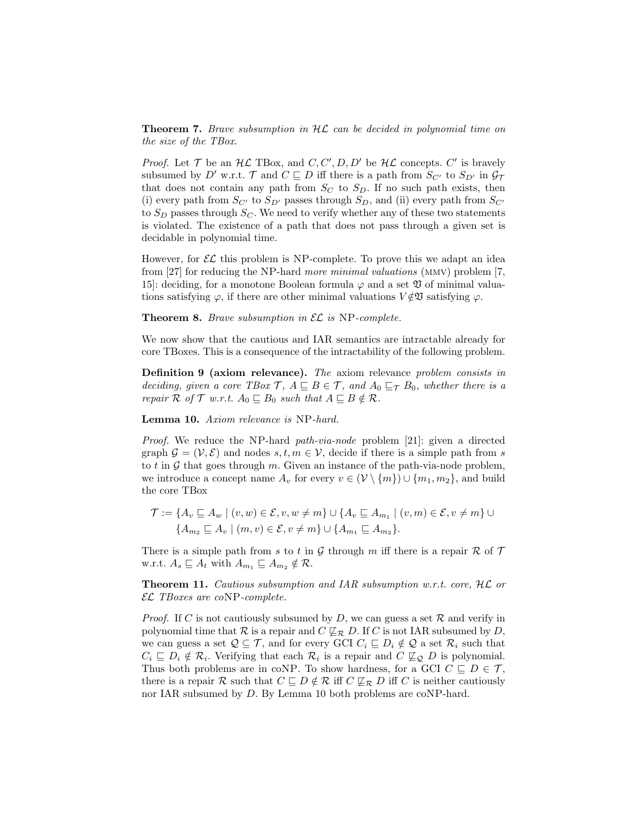**Theorem 7.** Brave subsumption in  $H\mathcal{L}$  can be decided in polynomial time on the size of the TBox.

*Proof.* Let  $\mathcal T$  be an  $H\mathcal L$  TBox, and  $C, C', D, D'$  be  $H\mathcal L$  concepts.  $C'$  is bravely subsumed by D' w.r.t. T and  $C \subseteq D$  iff there is a path from  $S_{C'}$  to  $S_{D'}$  in  $\mathcal{G}_{\mathcal{T}}$ that does not contain any path from  $S_C$  to  $S_D$ . If no such path exists, then (i) every path from  $S_{C'}$  to  $S_{D'}$  passes through  $S_D$ , and (ii) every path from  $S_{C'}$ to  $S_D$  passes through  $S_C$ . We need to verify whether any of these two statements is violated. The existence of a path that does not pass through a given set is decidable in polynomial time.

However, for  $\mathcal{EL}$  this problem is NP-complete. To prove this we adapt an idea from [27] for reducing the NP-hard more minimal valuations (mmv) problem [7, 15]: deciding, for a monotone Boolean formula  $\varphi$  and a set  $\mathfrak V$  of minimal valuations satisfying  $\varphi$ , if there are other minimal valuations  $V \notin \mathfrak{V}$  satisfying  $\varphi$ .

**Theorem 8.** Brave subsumption in  $\mathcal{EL}$  is NP-complete.

We now show that the cautious and IAR semantics are intractable already for core TBoxes. This is a consequence of the intractability of the following problem.

Definition 9 (axiom relevance). The axiom relevance problem consists in deciding, given a core TBox  $\mathcal{T}, A \sqsubseteq B \in \mathcal{T}$ , and  $A_0 \sqsubseteq_{\mathcal{T}} B_0$ , whether there is a repair  $\mathcal R$  of  $\mathcal T$  w.r.t.  $A_0 \sqsubseteq B_0$  such that  $A \sqsubseteq B \notin \mathcal R$ .

Lemma 10. Axiom relevance is NP-hard.

Proof. We reduce the NP-hard path-via-node problem [21]: given a directed graph  $\mathcal{G} = (\mathcal{V}, \mathcal{E})$  and nodes  $s, t, m \in \mathcal{V}$ , decide if there is a simple path from s to t in G that goes through m. Given an instance of the path-via-node problem, we introduce a concept name  $A_v$  for every  $v \in (\mathcal{V} \setminus \{m\}) \cup \{m_1, m_2\}$ , and build the core TBox

$$
\mathcal{T} := \{ A_v \sqsubseteq A_w \mid (v, w) \in \mathcal{E}, v, w \neq m \} \cup \{ A_v \sqsubseteq A_{m_1} \mid (v, m) \in \mathcal{E}, v \neq m \} \cup \{ A_{m_2} \sqsubseteq A_v \mid (m, v) \in \mathcal{E}, v \neq m \} \cup \{ A_{m_1} \sqsubseteq A_{m_2} \}.
$$

There is a simple path from s to t in G through m iff there is a repair R of  $\mathcal T$ w.r.t.  $A_s \sqsubseteq A_t$  with  $A_{m_1} \sqsubseteq A_{m_2} \notin \mathcal{R}$ .

Theorem 11. Cautious subsumption and IAR subsumption w.r.t. core, HL or EL TBoxes are coNP-complete.

*Proof.* If C is not cautiously subsumed by D, we can guess a set  $\mathcal{R}$  and verify in polynomial time that R is a repair and  $C \nsubseteq_{\mathcal{R}} D$ . If C is not IAR subsumed by D, we can guess a set  $\mathcal{Q} \subseteq \mathcal{T}$ , and for every GCI  $C_i \sqsubseteq D_i \notin \mathcal{Q}$  a set  $\mathcal{R}_i$  such that  $C_i \subseteq D_i \notin \mathcal{R}_i$ . Verifying that each  $\mathcal{R}_i$  is a repair and  $C \nsubseteq_{\mathcal{Q}} D$  is polynomial. Thus both problems are in coNP. To show hardness, for a GCI  $C \subseteq D \in \mathcal{T}$ , there is a repair R such that  $C \subseteq D \notin \mathcal{R}$  iff  $C \not\subseteq_{\mathcal{R}} D$  iff C is neither cautiously nor IAR subsumed by D. By Lemma 10 both problems are coNP-hard.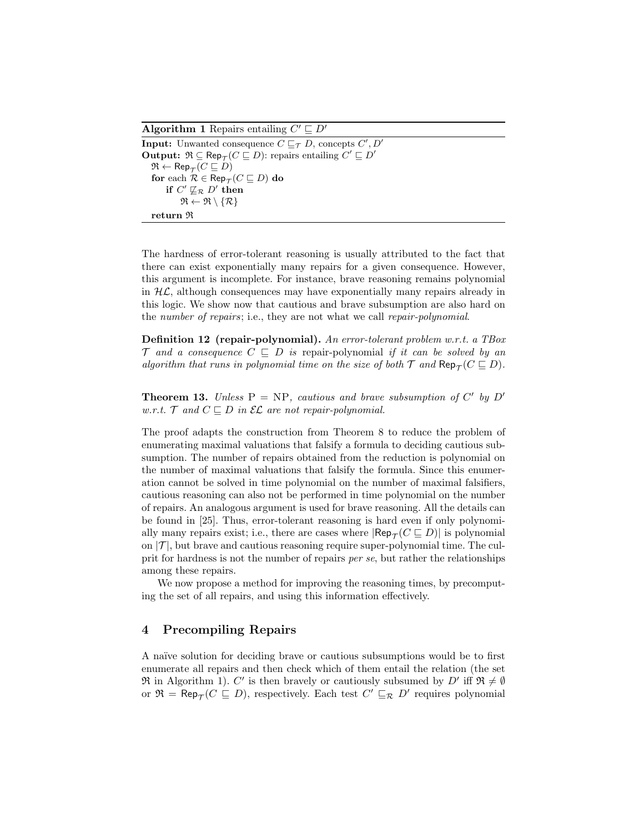Algorithm 1 Repairs entailing  $C' \sqsubseteq D'$ **Input:** Unwanted consequence  $C \sqsubseteq_{\mathcal{T}} D$ , concepts  $C', D'$ **Output:**  $\Re \subseteq \text{Rep}_{\mathcal{T}}(C \sqsubseteq D)$ : repairs entailing  $C' \sqsubseteq D'$  $\mathfrak{R} \leftarrow \mathsf{Rep}_{\mathcal{T}}(C \sqsubseteq D)$ for each  $\mathcal{R} \in \mathsf{Rep}_{\mathcal{T}}(C \sqsubseteq D)$  do if  $C'\not\sqsubseteq_{\mathcal{R}} D'$  then  $\mathfrak{R} \leftarrow \mathfrak{R} \setminus \{ \mathcal{R} \}$ return R

The hardness of error-tolerant reasoning is usually attributed to the fact that there can exist exponentially many repairs for a given consequence. However, this argument is incomplete. For instance, brave reasoning remains polynomial in  $H\mathcal{L}$ , although consequences may have exponentially many repairs already in this logic. We show now that cautious and brave subsumption are also hard on the number of repairs; i.e., they are not what we call repair-polynomial.

Definition 12 (repair-polynomial). An error-tolerant problem w.r.t. a TBox  $\mathcal T$  and a consequence  $C \subseteq D$  is repair-polynomial if it can be solved by an algorithm that runs in polynomial time on the size of both  $\mathcal T$  and  $\mathsf{Rep}_{\mathcal T}(C \sqsubseteq D)$ .

**Theorem 13.** Unless  $P = NP$ , cautious and brave subsumption of C' by D' w.r.t.  $\mathcal{T}$  and  $C \sqsubseteq D$  in  $\mathcal{EL}$  are not repair-polynomial.

The proof adapts the construction from Theorem 8 to reduce the problem of enumerating maximal valuations that falsify a formula to deciding cautious subsumption. The number of repairs obtained from the reduction is polynomial on the number of maximal valuations that falsify the formula. Since this enumeration cannot be solved in time polynomial on the number of maximal falsifiers, cautious reasoning can also not be performed in time polynomial on the number of repairs. An analogous argument is used for brave reasoning. All the details can be found in [25]. Thus, error-tolerant reasoning is hard even if only polynomially many repairs exist; i.e., there are cases where  $|\mathsf{Rep}_{\mathcal{T}}(C \sqsubseteq D)|$  is polynomial on  $|\mathcal{T}|$ , but brave and cautious reasoning require super-polynomial time. The culprit for hardness is not the number of repairs per se, but rather the relationships among these repairs.

We now propose a method for improving the reasoning times, by precomputing the set of all repairs, and using this information effectively.

# 4 Precompiling Repairs

A na¨ıve solution for deciding brave or cautious subsumptions would be to first enumerate all repairs and then check which of them entail the relation (the set  $\mathfrak{R}$  in Algorithm 1). C' is then bravely or cautiously subsumed by D' iff  $\mathfrak{R} \neq \emptyset$ or  $\mathfrak{R} = \mathsf{Rep}_{\mathcal{T}}(C \sqsubseteq D)$ , respectively. Each test  $C' \sqsubseteq_{\mathcal{R}} D'$  requires polynomial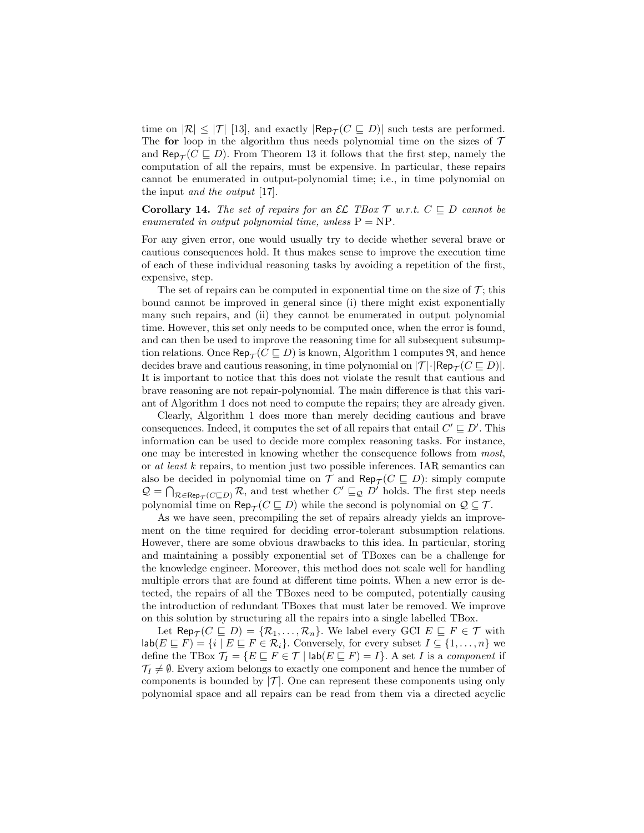time on  $|\mathcal{R}| \leq |\mathcal{T}|$  [13], and exactly  $|\mathsf{Rep}_{\mathcal{T}}(C \sqsubseteq D)|$  such tests are performed. The for loop in the algorithm thus needs polynomial time on the sizes of  $\mathcal T$ and  $\mathsf{Rep}_{\mathcal{T}}(C \sqsubseteq D)$ . From Theorem 13 it follows that the first step, namely the computation of all the repairs, must be expensive. In particular, these repairs cannot be enumerated in output-polynomial time; i.e., in time polynomial on the input and the output [17].

**Corollary 14.** The set of repairs for an  $\mathcal{EL}$  TBox  $\mathcal{T}$  w.r.t.  $C \subseteq D$  cannot be enumerated in output polynomial time, unless  $P = NP$ .

For any given error, one would usually try to decide whether several brave or cautious consequences hold. It thus makes sense to improve the execution time of each of these individual reasoning tasks by avoiding a repetition of the first, expensive, step.

The set of repairs can be computed in exponential time on the size of  $\mathcal{T}$ ; this bound cannot be improved in general since (i) there might exist exponentially many such repairs, and (ii) they cannot be enumerated in output polynomial time. However, this set only needs to be computed once, when the error is found, and can then be used to improve the reasoning time for all subsequent subsumption relations. Once  $\mathsf{Rep}_{\mathcal T}(C \sqsubseteq D)$  is known, Algorithm 1 computes  $\mathfrak R,$  and hence decides brave and cautious reasoning, in time polynomial on  $|\mathcal{T}| \cdot |\mathsf{Rep}_{\mathcal{T}}(C \sqsubseteq D)|$ . It is important to notice that this does not violate the result that cautious and brave reasoning are not repair-polynomial. The main difference is that this variant of Algorithm 1 does not need to compute the repairs; they are already given.

Clearly, Algorithm 1 does more than merely deciding cautious and brave consequences. Indeed, it computes the set of all repairs that entail  $C' \sqsubseteq D'$ . This information can be used to decide more complex reasoning tasks. For instance, one may be interested in knowing whether the consequence follows from most, or at least k repairs, to mention just two possible inferences. IAR semantics can also be decided in polynomial time on  $\mathcal T$  and  $\mathsf{Rep}_{\mathcal T}(C \sqsubseteq D)$ : simply compute  $\mathcal{Q} = \bigcap_{\mathcal{R} \in \mathsf{Rep}_{\mathcal{T}}(C \sqsubseteq D)} \mathcal{R}$ , and test whether  $C' \sqsubseteq_{\mathcal{Q}} D'$  holds. The first step needs polynomial time on  $\mathsf{Rep}_{\mathcal{T}}(C \sqsubseteq D)$  while the second is polynomial on  $\mathcal{Q} \subseteq \mathcal{T}$ .

As we have seen, precompiling the set of repairs already yields an improvement on the time required for deciding error-tolerant subsumption relations. However, there are some obvious drawbacks to this idea. In particular, storing and maintaining a possibly exponential set of TBoxes can be a challenge for the knowledge engineer. Moreover, this method does not scale well for handling multiple errors that are found at different time points. When a new error is detected, the repairs of all the TBoxes need to be computed, potentially causing the introduction of redundant TBoxes that must later be removed. We improve on this solution by structuring all the repairs into a single labelled TBox.

Let  $\mathsf{Rep}_{\mathcal{T}}(C \sqsubseteq D) = \{ \mathcal{R}_1, \ldots, \mathcal{R}_n \}.$  We label every GCI  $E \sqsubseteq F \in \mathcal{T}$  with  $\mathsf{lab}(E \sqsubseteq F) = \{i \mid E \sqsubseteq F \in \mathcal{R}_i\}.$  Conversely, for every subset  $I \subseteq \{1, \ldots, n\}$  we define the TBox  $\mathcal{T}_I = \{E \sqsubseteq F \in \mathcal{T} \mid \text{lab}(E \sqsubseteq F) = I\}$ . A set I is a component if  $\mathcal{T}_I \neq \emptyset$ . Every axiom belongs to exactly one component and hence the number of components is bounded by  $|\mathcal{T}|$ . One can represent these components using only polynomial space and all repairs can be read from them via a directed acyclic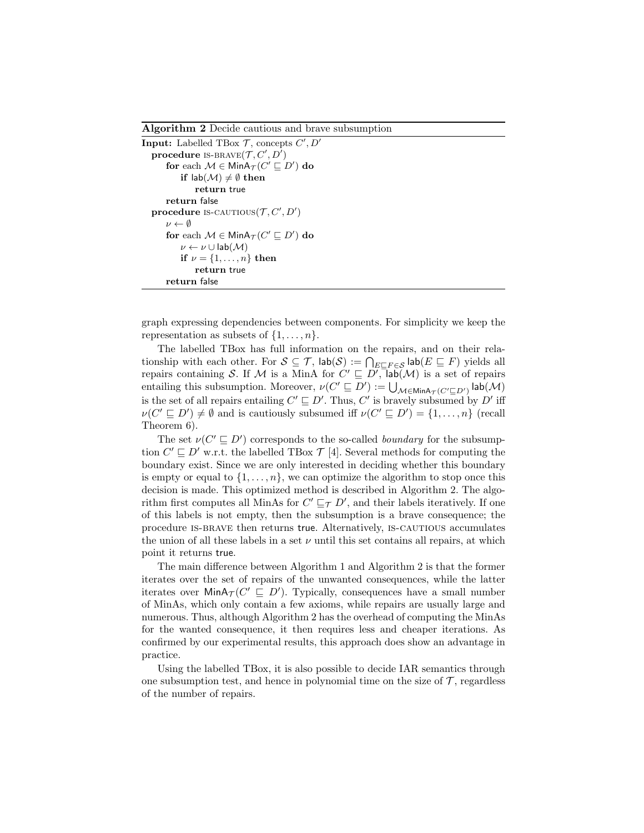Algorithm 2 Decide cautious and brave subsumption

```
Input: Labelled TBox \mathcal{T}, concepts C', D'procedure IS-BRAVE(\mathcal{T}, C', D')for each \mathcal{M} \in \mathsf{MinA}_{\mathcal{T}}(C' \sqsubseteq D') do
          if lab(\mathcal{M}) \neq \emptyset then
                return true
     return false
procedure is-CAUTIOUS(T, C', D')\nu \leftarrow \emptysetfor each \mathcal{M} \in \mathsf{MinA}_{\mathcal{T}}(C' \sqsubseteq D') do
          \nu \leftarrow \nu \cup \mathsf{lab}(\mathcal{M})if \nu = \{1, \ldots, n\} then
                return true
     return false
```
graph expressing dependencies between components. For simplicity we keep the representation as subsets of  $\{1, \ldots, n\}$ .

The labelled TBox has full information on the repairs, and on their relationship with each other. For  $S \subseteq \mathcal{T}$ ,  $\mathsf{lab}(\mathcal{S}) := \bigcap_{E \sqsubseteq F \in \mathcal{S}} \mathsf{lab}(E \sqsubseteq F)$  yields all repairs containing S. If M is a MinA for  $C' \subseteq D'$ ,  $\overline{\mathsf{lab}}(\mathcal{M})$  is a set of repairs entailing this subsumption. Moreover,  $\nu(C' \sqsubseteq D') := \bigcup_{\mathcal{M} \in \mathsf{MinA}_{\mathcal{T}}(C' \sqsubseteq D')} \mathsf{lab}(\mathcal{M})$ is the set of all repairs entailing  $C' \sqsubseteq D'$ . Thus,  $C'$  is bravely subsumed by  $D'$  iff  $\nu(C' \sqsubseteq D') \neq \emptyset$  and is cautiously subsumed iff  $\nu(C' \sqsubseteq D') = \{1, \ldots, n\}$  (recall Theorem 6).

The set  $\nu(C' \sqsubseteq D')$  corresponds to the so-called *boundary* for the subsumption  $C' \sqsubseteq D'$  w.r.t. the labelled TBox  $\mathcal{T}$  [4]. Several methods for computing the boundary exist. Since we are only interested in deciding whether this boundary is empty or equal to  $\{1, \ldots, n\}$ , we can optimize the algorithm to stop once this decision is made. This optimized method is described in Algorithm 2. The algorithm first computes all MinAs for  $C' \sqsubseteq_{\mathcal{T}} D'$ , and their labels iteratively. If one of this labels is not empty, then the subsumption is a brave consequence; the procedure is-brave then returns true. Alternatively, is-cautious accumulates the union of all these labels in a set  $\nu$  until this set contains all repairs, at which point it returns true.

The main difference between Algorithm 1 and Algorithm 2 is that the former iterates over the set of repairs of the unwanted consequences, while the latter iterates over MinA $_{\mathcal{T}}(C' \subseteq D')$ . Typically, consequences have a small number of MinAs, which only contain a few axioms, while repairs are usually large and numerous. Thus, although Algorithm 2 has the overhead of computing the MinAs for the wanted consequence, it then requires less and cheaper iterations. As confirmed by our experimental results, this approach does show an advantage in practice.

Using the labelled TBox, it is also possible to decide IAR semantics through one subsumption test, and hence in polynomial time on the size of  $\mathcal{T}$ , regardless of the number of repairs.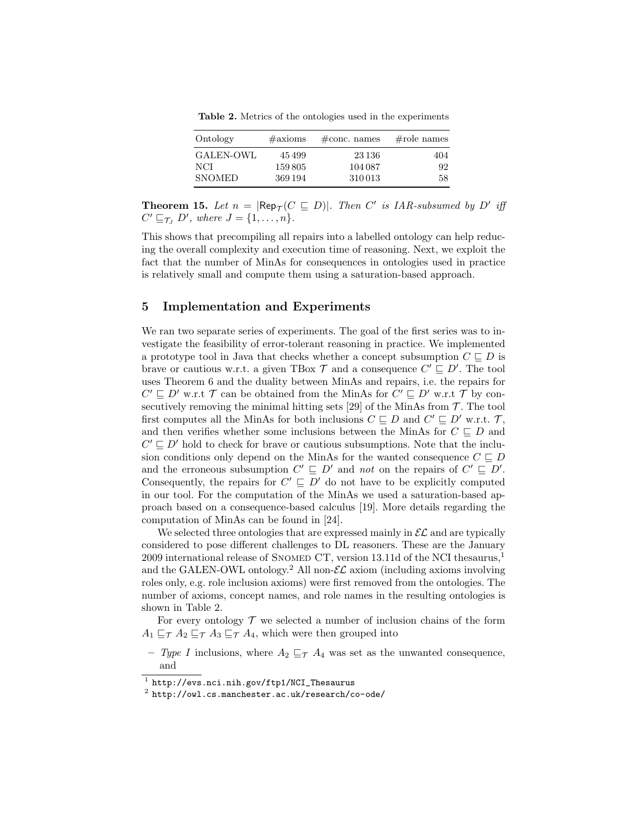Table 2. Metrics of the ontologies used in the experiments

| Ontology      | $\#\text{axioms}$ | $\#\text{conc. names}$ | $\#$ role names |
|---------------|-------------------|------------------------|-----------------|
| GALEN-OWL     | 45499             | 23 136                 | 404             |
| NCI           | 159805            | 104 087                | 92              |
| <b>SNOMED</b> | 369194            | 310013                 | 58.             |

**Theorem 15.** Let  $n = |\text{Rep}_{\mathcal{T}}(C \sqsubseteq D)|$ . Then C' is IAR-subsumed by D' iff  $C' \sqsubseteq_{\mathcal{T}_J} D'$ , where  $J = \{1, \ldots, n\}.$ 

This shows that precompiling all repairs into a labelled ontology can help reducing the overall complexity and execution time of reasoning. Next, we exploit the fact that the number of MinAs for consequences in ontologies used in practice is relatively small and compute them using a saturation-based approach.

# 5 Implementation and Experiments

We ran two separate series of experiments. The goal of the first series was to investigate the feasibility of error-tolerant reasoning in practice. We implemented a prototype tool in Java that checks whether a concept subsumption  $C \subseteq D$  is brave or cautious w.r.t. a given TBox  $\mathcal{T}$  and a consequence  $C' \sqsubseteq D'$ . The tool uses Theorem 6 and the duality between MinAs and repairs, i.e. the repairs for  $C' \sqsubseteq D'$  w.r.t  $\mathcal T$  can be obtained from the MinAs for  $C' \sqsubseteq D'$  w.r.t  $\mathcal T$  by consecutively removing the minimal hitting sets [29] of the MinAs from  $\mathcal{T}$ . The tool first computes all the MinAs for both inclusions  $C \subseteq D$  and  $C' \subseteq D'$  w.r.t. T, and then verifies whether some inclusions between the MinAs for  $C \subseteq D$  and  $C' \sqsubseteq D'$  hold to check for brave or cautious subsumptions. Note that the inclusion conditions only depend on the MinAs for the wanted consequence  $C \subseteq D$ and the erroneous subsumption  $C' \subseteq D'$  and not on the repairs of  $C' \subseteq D'$ . Consequently, the repairs for  $C' \sqsubseteq D'$  do not have to be explicitly computed in our tool. For the computation of the MinAs we used a saturation-based approach based on a consequence-based calculus [19]. More details regarding the computation of MinAs can be found in [24].

We selected three ontologies that are expressed mainly in  $\mathcal{EL}$  and are typically considered to pose different challenges to DL reasoners. These are the January 2009 international release of SNOMED CT, version 13.11d of the NCI thesaurus,<sup>1</sup> and the GALEN-OWL ontology.<sup>2</sup> All non- $\mathcal{EL}$  axiom (including axioms involving roles only, e.g. role inclusion axioms) were first removed from the ontologies. The number of axioms, concept names, and role names in the resulting ontologies is shown in Table 2.

For every ontology  $\mathcal T$  we selected a number of inclusion chains of the form  $A_1 \sqsubseteq_{\mathcal{T}} A_2 \sqsubseteq_{\mathcal{T}} A_3 \sqsubseteq_{\mathcal{T}} A_4$ , which were then grouped into

– Type I inclusions, where  $A_2 \sqsubseteq_{\mathcal{T}} A_4$  was set as the unwanted consequence, and

 $^{\rm 1}$  http://evs.nci.nih.gov/ftp1/NCI\_Thesaurus

 $^2$  http://owl.cs.manchester.ac.uk/research/co-ode/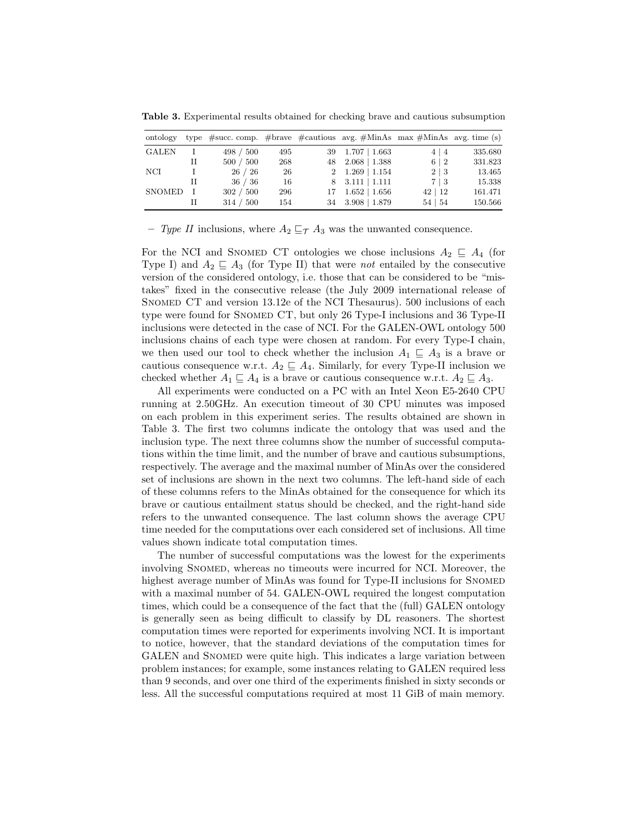Table 3. Experimental results obtained for checking brave and cautious subsumption

| ontology      |   |           |     |    |                            | type #succ.comp. #brave #cautious avg. #MinAs max #MinAs avg. time (s) |         |
|---------------|---|-----------|-----|----|----------------------------|------------------------------------------------------------------------|---------|
| <b>GALEN</b>  |   | 498 / 500 | 495 | 39 | $1.707 \mid 1.663$         | $4 \mid 4$                                                             | 335.680 |
|               | Н | 500 / 500 | 268 | 48 | $2.068 \mid 1.388$         | $6 \mid 2$                                                             | 331.823 |
| NCI           |   | 26/26     | 26  |    | $2 \quad 1.269 \mid 1.154$ | $2 \mid 3$                                                             | 13.465  |
|               | Н | 36 / 36   | 16  |    | $8$ $3.111$   1.111        | $7 \mid 3$                                                             | 15.338  |
| <b>SNOMED</b> |   | 302 / 500 | 296 | 17 | $1.652 \pm 1.656$          | 42 12                                                                  | 161.471 |
|               | H | 314 / 500 | 154 |    | 34 3.908   1.879           | $54 \mid 54$                                                           | 150.566 |

– Type II inclusions, where  $A_2 \sqsubseteq_{\mathcal{T}} A_3$  was the unwanted consequence.

For the NCI and SNOMED CT ontologies we chose inclusions  $A_2 \subseteq A_4$  (for Type I) and  $A_2 \subseteq A_3$  (for Type II) that were not entailed by the consecutive version of the considered ontology, i.e. those that can be considered to be "mistakes" fixed in the consecutive release (the July 2009 international release of SNOMED CT and version 13.12e of the NCI Thesaurus). 500 inclusions of each type were found for Snomed CT, but only 26 Type-I inclusions and 36 Type-II inclusions were detected in the case of NCI. For the GALEN-OWL ontology 500 inclusions chains of each type were chosen at random. For every Type-I chain, we then used our tool to check whether the inclusion  $A_1 \subseteq A_3$  is a brave or cautious consequence w.r.t.  $A_2 \subseteq A_4$ . Similarly, for every Type-II inclusion we checked whether  $A_1 \subseteq A_4$  is a brave or cautious consequence w.r.t.  $A_2 \subseteq A_3$ .

All experiments were conducted on a PC with an Intel Xeon E5-2640 CPU running at 2.50GHz. An execution timeout of 30 CPU minutes was imposed on each problem in this experiment series. The results obtained are shown in Table 3. The first two columns indicate the ontology that was used and the inclusion type. The next three columns show the number of successful computations within the time limit, and the number of brave and cautious subsumptions, respectively. The average and the maximal number of MinAs over the considered set of inclusions are shown in the next two columns. The left-hand side of each of these columns refers to the MinAs obtained for the consequence for which its brave or cautious entailment status should be checked, and the right-hand side refers to the unwanted consequence. The last column shows the average CPU time needed for the computations over each considered set of inclusions. All time values shown indicate total computation times.

The number of successful computations was the lowest for the experiments involving Snomed, whereas no timeouts were incurred for NCI. Moreover, the highest average number of MinAs was found for Type-II inclusions for SNOMED with a maximal number of 54. GALEN-OWL required the longest computation times, which could be a consequence of the fact that the (full) GALEN ontology is generally seen as being difficult to classify by DL reasoners. The shortest computation times were reported for experiments involving NCI. It is important to notice, however, that the standard deviations of the computation times for GALEN and SNOMED were quite high. This indicates a large variation between problem instances; for example, some instances relating to GALEN required less than 9 seconds, and over one third of the experiments finished in sixty seconds or less. All the successful computations required at most 11 GiB of main memory.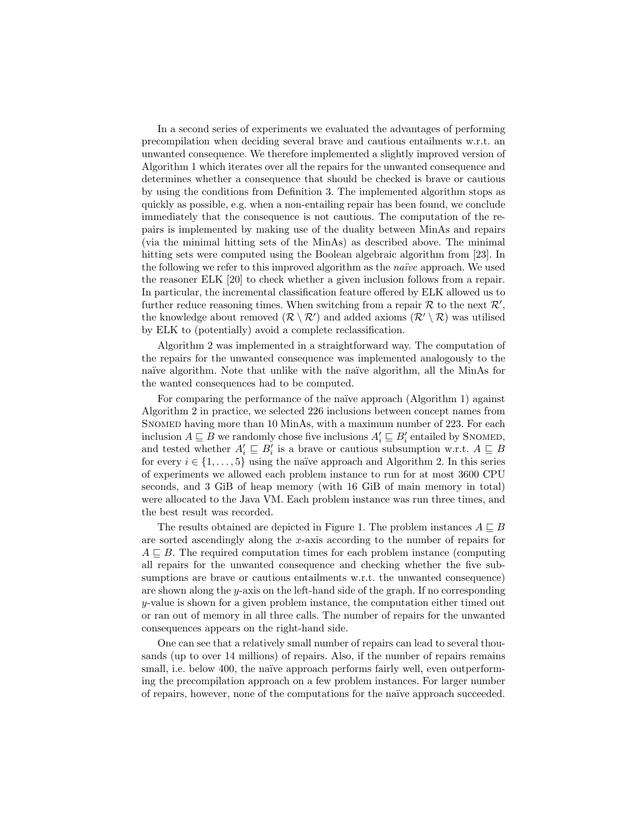In a second series of experiments we evaluated the advantages of performing precompilation when deciding several brave and cautious entailments w.r.t. an unwanted consequence. We therefore implemented a slightly improved version of Algorithm 1 which iterates over all the repairs for the unwanted consequence and determines whether a consequence that should be checked is brave or cautious by using the conditions from Definition 3. The implemented algorithm stops as quickly as possible, e.g. when a non-entailing repair has been found, we conclude immediately that the consequence is not cautious. The computation of the repairs is implemented by making use of the duality between MinAs and repairs (via the minimal hitting sets of the MinAs) as described above. The minimal hitting sets were computed using the Boolean algebraic algorithm from [23]. In the following we refer to this improved algorithm as the *naïve* approach. We used the reasoner ELK [20] to check whether a given inclusion follows from a repair. In particular, the incremental classification feature offered by ELK allowed us to further reduce reasoning times. When switching from a repair  $R$  to the next  $R',$ the knowledge about removed  $(\mathcal{R} \setminus \mathcal{R}')$  and added axioms  $(\mathcal{R}' \setminus \mathcal{R})$  was utilised by ELK to (potentially) avoid a complete reclassification.

Algorithm 2 was implemented in a straightforward way. The computation of the repairs for the unwanted consequence was implemented analogously to the naïve algorithm. Note that unlike with the naïve algorithm, all the MinAs for the wanted consequences had to be computed.

For comparing the performance of the naïve approach (Algorithm 1) against Algorithm 2 in practice, we selected 226 inclusions between concept names from SNOMED having more than 10 MinAs, with a maximum number of 223. For each inclusion  $A \sqsubseteq B$  we randomly chose five inclusions  $A'_i \sqsubseteq B'_i$  entailed by SNOMED, and tested whether  $A'_i \sqsubseteq B'_i$  is a brave or cautious subsumption w.r.t.  $A \sqsubseteq B$ for every  $i \in \{1, \ldots, 5\}$  using the naïve approach and Algorithm 2. In this series of experiments we allowed each problem instance to run for at most 3600 CPU seconds, and 3 GiB of heap memory (with 16 GiB of main memory in total) were allocated to the Java VM. Each problem instance was run three times, and the best result was recorded.

The results obtained are depicted in Figure 1. The problem instances  $A \sqsubseteq B$ are sorted ascendingly along the x-axis according to the number of repairs for  $A \sqsubseteq B$ . The required computation times for each problem instance (computing all repairs for the unwanted consequence and checking whether the five subsumptions are brave or cautious entailments w.r.t. the unwanted consequence) are shown along the y-axis on the left-hand side of the graph. If no corresponding y-value is shown for a given problem instance, the computation either timed out or ran out of memory in all three calls. The number of repairs for the unwanted consequences appears on the right-hand side.

One can see that a relatively small number of repairs can lead to several thousands (up to over 14 millions) of repairs. Also, if the number of repairs remains small, i.e. below 400, the naïve approach performs fairly well, even outperforming the precompilation approach on a few problem instances. For larger number of repairs, however, none of the computations for the na¨ıve approach succeeded.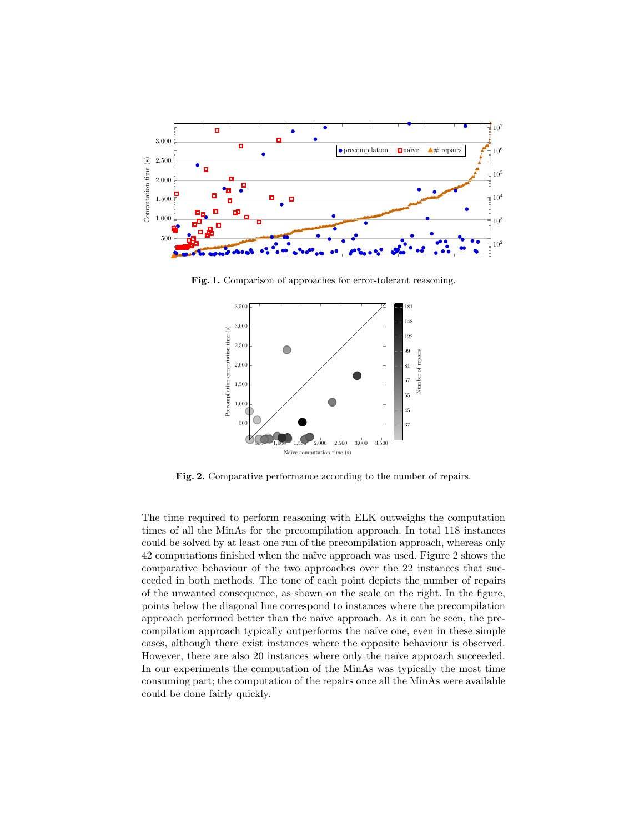

Fig. 1. Comparison of approaches for error-tolerant reasoning.



Fig. 2. Comparative performance according to the number of repairs.

The time required to perform reasoning with ELK outweighs the computation times of all the MinAs for the precompilation approach. In total 118 instances could be solved by at least one run of the precompilation approach, whereas only 42 computations finished when the na¨ıve approach was used. Figure 2 shows the comparative behaviour of the two approaches over the 22 instances that succeeded in both methods. The tone of each point depicts the number of repairs of the unwanted consequence, as shown on the scale on the right. In the figure, points below the diagonal line correspond to instances where the precompilation approach performed better than the naïve approach. As it can be seen, the precompilation approach typically outperforms the naïve one, even in these simple cases, although there exist instances where the opposite behaviour is observed. However, there are also 20 instances where only the naïve approach succeeded. In our experiments the computation of the MinAs was typically the most time consuming part; the computation of the repairs once all the MinAs were available could be done fairly quickly.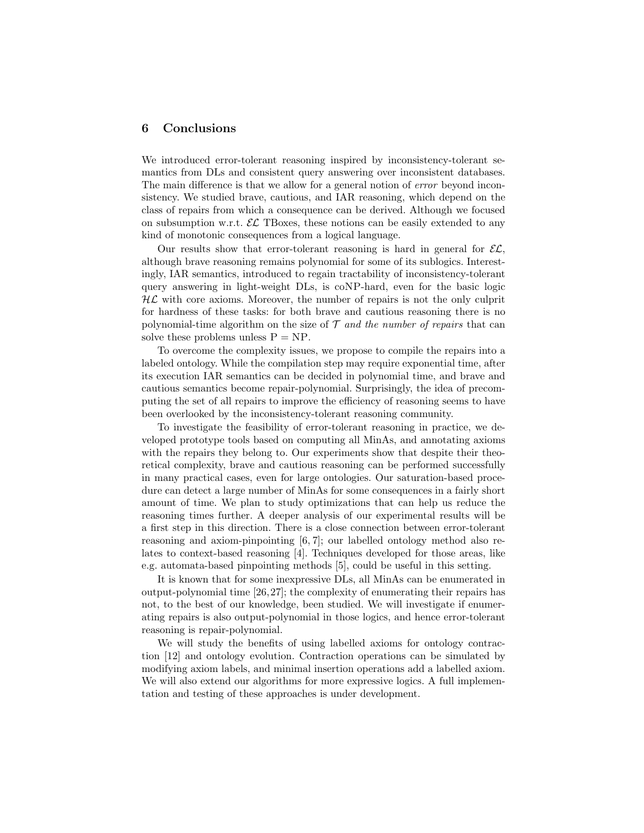### 6 Conclusions

We introduced error-tolerant reasoning inspired by inconsistency-tolerant semantics from DLs and consistent query answering over inconsistent databases. The main difference is that we allow for a general notion of *error* beyond inconsistency. We studied brave, cautious, and IAR reasoning, which depend on the class of repairs from which a consequence can be derived. Although we focused on subsumption w.r.t.  $\mathcal{EL}$  TBoxes, these notions can be easily extended to any kind of monotonic consequences from a logical language.

Our results show that error-tolerant reasoning is hard in general for  $\mathcal{EL}$ , although brave reasoning remains polynomial for some of its sublogics. Interestingly, IAR semantics, introduced to regain tractability of inconsistency-tolerant query answering in light-weight DLs, is coNP-hard, even for the basic logic  $H\mathcal{L}$  with core axioms. Moreover, the number of repairs is not the only culprit for hardness of these tasks: for both brave and cautious reasoning there is no polynomial-time algorithm on the size of  $\mathcal T$  and the number of repairs that can solve these problems unless  $P = NP$ .

To overcome the complexity issues, we propose to compile the repairs into a labeled ontology. While the compilation step may require exponential time, after its execution IAR semantics can be decided in polynomial time, and brave and cautious semantics become repair-polynomial. Surprisingly, the idea of precomputing the set of all repairs to improve the efficiency of reasoning seems to have been overlooked by the inconsistency-tolerant reasoning community.

To investigate the feasibility of error-tolerant reasoning in practice, we developed prototype tools based on computing all MinAs, and annotating axioms with the repairs they belong to. Our experiments show that despite their theoretical complexity, brave and cautious reasoning can be performed successfully in many practical cases, even for large ontologies. Our saturation-based procedure can detect a large number of MinAs for some consequences in a fairly short amount of time. We plan to study optimizations that can help us reduce the reasoning times further. A deeper analysis of our experimental results will be a first step in this direction. There is a close connection between error-tolerant reasoning and axiom-pinpointing [6, 7]; our labelled ontology method also relates to context-based reasoning [4]. Techniques developed for those areas, like e.g. automata-based pinpointing methods [5], could be useful in this setting.

It is known that for some inexpressive DLs, all MinAs can be enumerated in output-polynomial time [26,27]; the complexity of enumerating their repairs has not, to the best of our knowledge, been studied. We will investigate if enumerating repairs is also output-polynomial in those logics, and hence error-tolerant reasoning is repair-polynomial.

We will study the benefits of using labelled axioms for ontology contraction [12] and ontology evolution. Contraction operations can be simulated by modifying axiom labels, and minimal insertion operations add a labelled axiom. We will also extend our algorithms for more expressive logics. A full implementation and testing of these approaches is under development.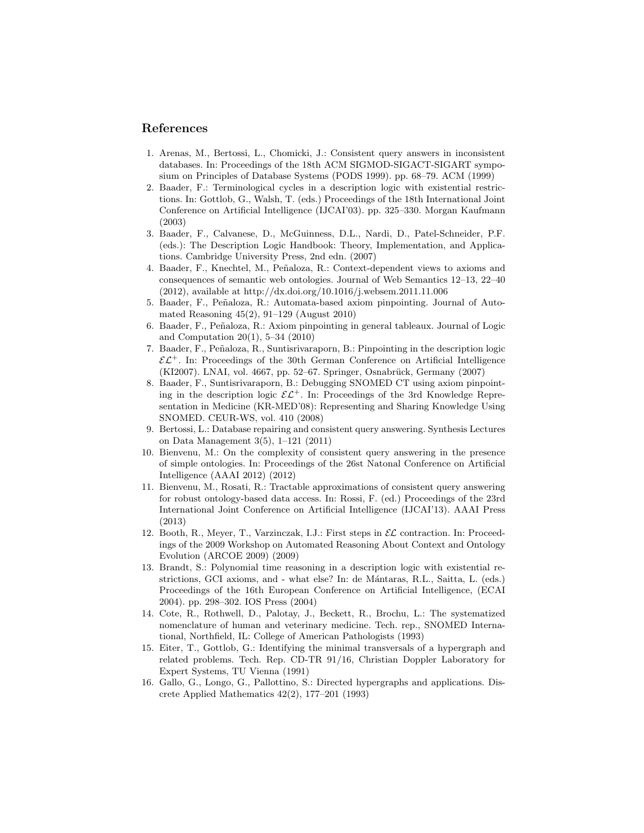## References

- 1. Arenas, M., Bertossi, L., Chomicki, J.: Consistent query answers in inconsistent databases. In: Proceedings of the 18th ACM SIGMOD-SIGACT-SIGART symposium on Principles of Database Systems (PODS 1999). pp. 68–79. ACM (1999)
- 2. Baader, F.: Terminological cycles in a description logic with existential restrictions. In: Gottlob, G., Walsh, T. (eds.) Proceedings of the 18th International Joint Conference on Artificial Intelligence (IJCAI'03). pp. 325–330. Morgan Kaufmann (2003)
- 3. Baader, F., Calvanese, D., McGuinness, D.L., Nardi, D., Patel-Schneider, P.F. (eds.): The Description Logic Handbook: Theory, Implementation, and Applications. Cambridge University Press, 2nd edn. (2007)
- 4. Baader, F., Knechtel, M., Peñaloza, R.: Context-dependent views to axioms and consequences of semantic web ontologies. Journal of Web Semantics 12–13, 22–40 (2012), available at http://dx.doi.org/10.1016/j.websem.2011.11.006
- 5. Baader, F., Peñaloza, R.: Automata-based axiom pinpointing. Journal of Automated Reasoning 45(2), 91–129 (August 2010)
- 6. Baader, F., Pe˜naloza, R.: Axiom pinpointing in general tableaux. Journal of Logic and Computation 20(1), 5–34 (2010)
- 7. Baader, F., Pe˜naloza, R., Suntisrivaraporn, B.: Pinpointing in the description logic  $\mathcal{EL}^+$ . In: Proceedings of the 30th German Conference on Artificial Intelligence  $(KI2007)$ . LNAI, vol. 4667, pp. 52–67. Springer, Osnabrück, Germany  $(2007)$
- 8. Baader, F., Suntisrivaraporn, B.: Debugging SNOMED CT using axiom pinpointing in the description logic  $\mathcal{EL}^+$ . In: Proceedings of the 3rd Knowledge Representation in Medicine (KR-MED'08): Representing and Sharing Knowledge Using SNOMED. CEUR-WS, vol. 410 (2008)
- 9. Bertossi, L.: Database repairing and consistent query answering. Synthesis Lectures on Data Management 3(5), 1–121 (2011)
- 10. Bienvenu, M.: On the complexity of consistent query answering in the presence of simple ontologies. In: Proceedings of the 26st Natonal Conference on Artificial Intelligence (AAAI 2012) (2012)
- 11. Bienvenu, M., Rosati, R.: Tractable approximations of consistent query answering for robust ontology-based data access. In: Rossi, F. (ed.) Proceedings of the 23rd International Joint Conference on Artificial Intelligence (IJCAI'13). AAAI Press (2013)
- 12. Booth, R., Meyer, T., Varzinczak, I.J.: First steps in  $\mathcal{EL}$  contraction. In: Proceedings of the 2009 Workshop on Automated Reasoning About Context and Ontology Evolution (ARCOE 2009) (2009)
- 13. Brandt, S.: Polynomial time reasoning in a description logic with existential restrictions, GCI axioms, and - what else? In: de M´antaras, R.L., Saitta, L. (eds.) Proceedings of the 16th European Conference on Artificial Intelligence, (ECAI 2004). pp. 298–302. IOS Press (2004)
- 14. Cote, R., Rothwell, D., Palotay, J., Beckett, R., Brochu, L.: The systematized nomenclature of human and veterinary medicine. Tech. rep., SNOMED International, Northfield, IL: College of American Pathologists (1993)
- 15. Eiter, T., Gottlob, G.: Identifying the minimal transversals of a hypergraph and related problems. Tech. Rep. CD-TR 91/16, Christian Doppler Laboratory for Expert Systems, TU Vienna (1991)
- 16. Gallo, G., Longo, G., Pallottino, S.: Directed hypergraphs and applications. Discrete Applied Mathematics 42(2), 177–201 (1993)